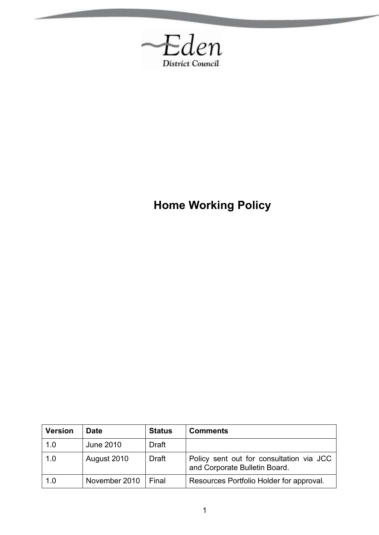

**Home Working Policy**

| <b>Version</b> | <b>Date</b>      | <b>Status</b> | <b>Comments</b>                                                           |
|----------------|------------------|---------------|---------------------------------------------------------------------------|
| 1.0            | <b>June 2010</b> | <b>Draft</b>  |                                                                           |
| 1.0            | August 2010      | <b>Draft</b>  | Policy sent out for consultation via JCC<br>and Corporate Bulletin Board. |
| 1.0            | November 2010    | l Final       | Resources Portfolio Holder for approval.                                  |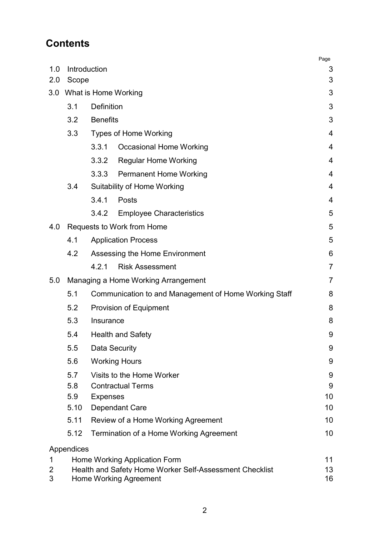# **Contents**

|                |                                            |                                                         | Page           |  |  |
|----------------|--------------------------------------------|---------------------------------------------------------|----------------|--|--|
| 1.0<br>2.0     | Scope                                      | Introduction                                            | 3<br>3         |  |  |
| 3.0            |                                            | What is Home Working                                    | 3              |  |  |
|                | 3.1                                        | <b>Definition</b>                                       | 3              |  |  |
|                | 3.2                                        | <b>Benefits</b>                                         | 3              |  |  |
|                | 3.3                                        | <b>Types of Home Working</b>                            | 4              |  |  |
|                |                                            | 3.3.1<br><b>Occasional Home Working</b>                 | 4              |  |  |
|                |                                            | 3.3.2<br>Regular Home Working                           | $\overline{4}$ |  |  |
|                |                                            | 3.3.3<br><b>Permanent Home Working</b>                  | 4              |  |  |
|                | 3.4                                        | Suitability of Home Working                             | 4              |  |  |
|                |                                            | 3.4.1<br>Posts                                          | 4              |  |  |
|                |                                            | 3.4.2<br><b>Employee Characteristics</b>                | 5              |  |  |
| 4.0            |                                            | Requests to Work from Home                              | 5              |  |  |
|                | 4.1                                        | <b>Application Process</b>                              | 5              |  |  |
|                | 4.2<br>Assessing the Home Environment<br>6 |                                                         |                |  |  |
|                |                                            | 4.2.1<br><b>Risk Assessment</b>                         | $\overline{7}$ |  |  |
| 5.0            |                                            | Managing a Home Working Arrangement                     | 7              |  |  |
|                | 5.1                                        | Communication to and Management of Home Working Staff   | 8              |  |  |
|                | 5.2<br>Provision of Equipment<br>8         |                                                         |                |  |  |
|                | 5.3<br>8<br>Insurance                      |                                                         |                |  |  |
|                | 5.4                                        | <b>Health and Safety</b>                                | 9              |  |  |
|                | 5.5                                        | <b>Data Security</b>                                    | 9              |  |  |
|                | 5.6                                        | <b>Working Hours</b>                                    | 9              |  |  |
|                | 5.7                                        | Visits to the Home Worker                               | 9              |  |  |
|                | 5.8                                        | <b>Contractual Terms</b>                                | 9              |  |  |
|                | 5.9<br>5.10                                | <b>Expenses</b><br><b>Dependant Care</b>                | 10<br>10       |  |  |
|                | 5.11                                       | Review of a Home Working Agreement                      | 10             |  |  |
|                | 5.12                                       | 10<br>Termination of a Home Working Agreement           |                |  |  |
|                |                                            |                                                         |                |  |  |
| 1              | Appendices                                 | Home Working Application Form                           | 11             |  |  |
| $\overline{2}$ |                                            | Health and Safety Home Worker Self-Assessment Checklist | 13             |  |  |
| 3              |                                            | <b>Home Working Agreement</b>                           | 16             |  |  |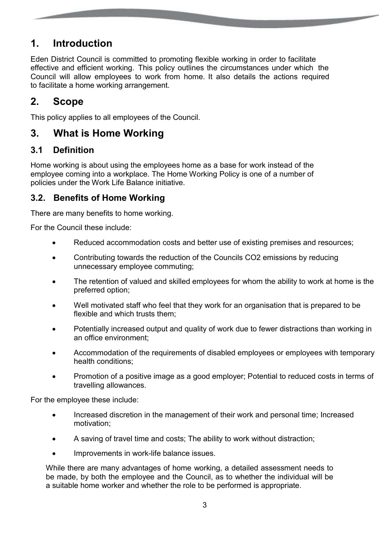# **1. Introduction**

Eden District Council is committed to promoting flexible working in order to facilitate effective and efficient working. This policy outlines the circumstances under which the Council will allow employees to work from home. It also details the actions required to facilitate a home working arrangement.

## **2. Scope**

This policy applies to all employees of the Council.

## **3. What is Home Working**

### **3.1 Definition**

Home working is about using the employees home as a base for work instead of the employee coming into a workplace. The Home Working Policy is one of a number of policies under the Work Life Balance initiative.

### **3.2. Benefits of Home Working**

There are many benefits to home working.

For the Council these include:

- Reduced accommodation costs and better use of existing premises and resources;
- Contributing towards the reduction of the Councils CO2 emissions by reducing unnecessary employee commuting;
- The retention of valued and skilled employees for whom the ability to work at home is the preferred option;
- Well motivated staff who feel that they work for an organisation that is prepared to be flexible and which trusts them;
- Potentially increased output and quality of work due to fewer distractions than working in an office environment;
- Accommodation of the requirements of disabled employees or employees with temporary health conditions;
- Promotion of a positive image as a good employer; Potential to reduced costs in terms of travelling allowances.

For the employee these include:

- Increased discretion in the management of their work and personal time; Increased motivation;
- A saving of travel time and costs; The ability to work without distraction;
- Improvements in work-life balance issues.

While there are many advantages of home working, a detailed assessment needs to be made, by both the employee and the Council, as to whether the individual will be a suitable home worker and whether the role to be performed is appropriate.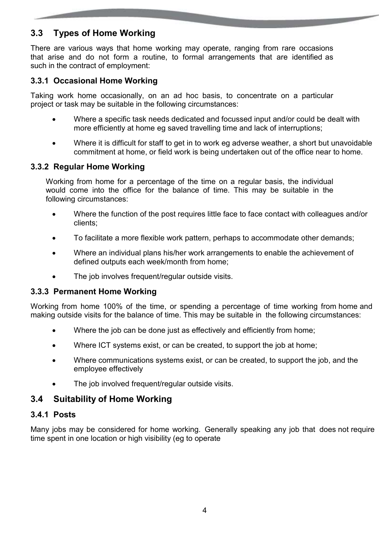### **3.3 Types of Home Working**

There are various ways that home working may operate, ranging from rare occasions that arise and do not form a routine, to formal arrangements that are identified as such in the contract of employment:

#### **3.3.1 Occasional Home Working**

Taking work home occasionally, on an ad hoc basis, to concentrate on a particular project or task may be suitable in the following circumstances:

- Where a specific task needs dedicated and focussed input and/or could be dealt with more efficiently at home eg saved travelling time and lack of interruptions;
- Where it is difficult for staff to get in to work eg adverse weather, a short but unavoidable commitment at home, or field work is being undertaken out of the office near to home.

#### **3.3.2 Regular Home Working**

Working from home for a percentage of the time on a regular basis, the individual would come into the office for the balance of time. This may be suitable in the following circumstances:

- Where the function of the post requires little face to face contact with colleagues and/or clients;
- To facilitate a more flexible work pattern, perhaps to accommodate other demands;
- Where an individual plans his/her work arrangements to enable the achievement of defined outputs each week/month from home;
- The job involves frequent/regular outside visits.

#### **3.3.3 Permanent Home Working**

Working from home 100% of the time, or spending a percentage of time working from home and making outside visits for the balance of time. This may be suitable in the following circumstances:

- Where the job can be done just as effectively and efficiently from home;
- Where ICT systems exist, or can be created, to support the job at home;
- Where communications systems exist, or can be created, to support the job, and the employee effectively
- The job involved frequent/regular outside visits.

#### **3.4 Suitability of Home Working**

#### **3.4.1 Posts**

Many jobs may be considered for home working. Generally speaking any job that does not require time spent in one location or high visibility (eg to operate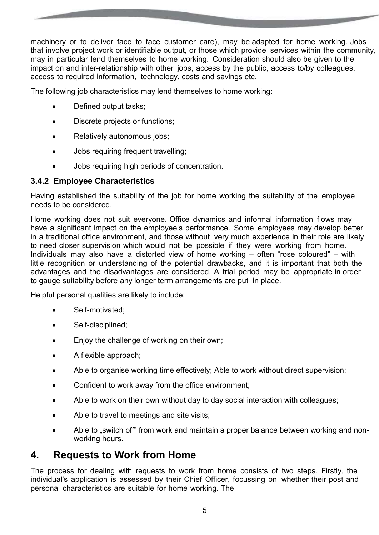machinery or to deliver face to face customer care), may be adapted for home working. Jobs that involve project work or identifiable output, or those which provide services within the community, may in particular lend themselves to home working. Consideration should also be given to the impact on and inter-relationship with other jobs, access by the public, access to/by colleagues, access to required information, technology, costs and savings etc.

The following job characteristics may lend themselves to home working:

- Defined output tasks;
- Discrete projects or functions;
- Relatively autonomous jobs;
- Jobs requiring frequent travelling;
- Jobs requiring high periods of concentration.

#### **3.4.2 Employee Characteristics**

Having established the suitability of the job for home working the suitability of the employee needs to be considered.

Home working does not suit everyone. Office dynamics and informal information flows may have a significant impact on the employee's performance. Some employees may develop better in a traditional office environment, and those without very much experience in their role are likely to need closer supervision which would not be possible if they were working from home. Individuals may also have a distorted view of home working – often "rose coloured" – with little recognition or understanding of the potential drawbacks, and it is important that both the advantages and the disadvantages are considered. A trial period may be appropriate in order to gauge suitability before any longer term arrangements are put in place.

Helpful personal qualities are likely to include:

- Self-motivated;
- Self-disciplined;
- **Enjoy the challenge of working on their own;**
- A flexible approach;
- Able to organise working time effectively; Able to work without direct supervision;
- Confident to work away from the office environment;
- Able to work on their own without day to day social interaction with colleagues;
- Able to travel to meetings and site visits;
- Able to "switch off" from work and maintain a proper balance between working and nonworking hours.

## **4. Requests to Work from Home**

The process for dealing with requests to work from home consists of two steps. Firstly, the individual's application is assessed by their Chief Officer, focussing on whether their post and personal characteristics are suitable for home working. The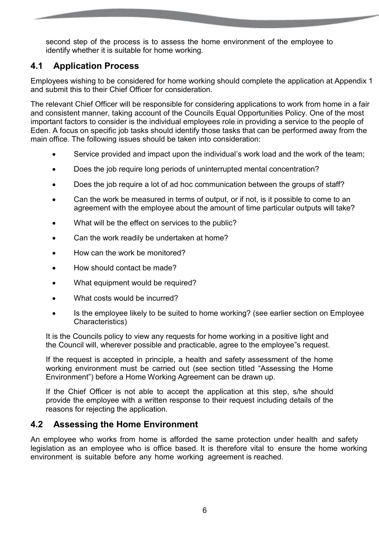second step of the process is to assess the home environment of the employee to identify whether it is suitable for home working.

### **4.1 Application Process**

Employees wishing to be considered for home working should complete the application at Appendix 1 and submit this to their Chief Officer for consideration.

The relevant Chief Officer will be responsible for considering applications to work from home in a fair and consistent manner, taking account of the Councils Equal Opportunities Policy. One of the most important factors to consider is the individual employees role in providing a service to the people of Eden. A focus on specific job tasks should identify those tasks that can be performed away from the main office. The following issues should be taken into consideration:

- Service provided and impact upon the individual's work load and the work of the team;
- Does the job require long periods of uninterrupted mental concentration?
- Does the job require a lot of ad hoc communication between the groups of staff?
- Can the work be measured in terms of output, or if not, is it possible to come to an agreement with the employee about the amount of time particular outputs will take?
- What will be the effect on services to the public?
- Can the work readily be undertaken at home?
- How can the work be monitored?
- How should contact be made?
- What equipment would be required?
- What costs would be incurred?
- Is the employee likely to be suited to home working? (see earlier section on Employee Characteristics)

It is the Councils policy to view any requests for home working in a positive light and the Council will, wherever possible and practicable, agree to the employee"s request.

If the request is accepted in principle, a health and safety assessment of the home working environment must be carried out (see section titled "Assessing the Home Environment") before a Home Working Agreement can be drawn up.

If the Chief Officer is not able to accept the application at this step, s/he should provide the employee with a written response to their request including details of the reasons for rejecting the application.

### **4.2 Assessing the Home Environment**

An employee who works from home is afforded the same protection under health and safety legislation as an employee who is office based. It is therefore vital to ensure the home working environment is suitable before any home working agreement is reached.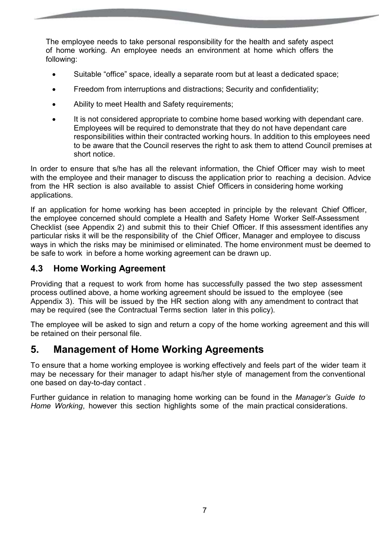The employee needs to take personal responsibility for the health and safety aspect of home working. An employee needs an environment at home which offers the following:

- Suitable "office" space, ideally a separate room but at least a dedicated space;
- Freedom from interruptions and distractions; Security and confidentiality;
- Ability to meet Health and Safety requirements;
- It is not considered appropriate to combine home based working with dependant care. Employees will be required to demonstrate that they do not have dependant care responsibilities within their contracted working hours. In addition to this employees need to be aware that the Council reserves the right to ask them to attend Council premises at short notice.

In order to ensure that s/he has all the relevant information, the Chief Officer may wish to meet with the employee and their manager to discuss the application prior to reaching a decision. Advice from the HR section is also available to assist Chief Officers in considering home working applications.

If an application for home working has been accepted in principle by the relevant Chief Officer, the employee concerned should complete a Health and Safety Home Worker Self-Assessment Checklist (see Appendix 2) and submit this to their Chief Officer. If this assessment identifies any particular risks it will be the responsibility of the Chief Officer, Manager and employee to discuss ways in which the risks may be minimised or eliminated. The home environment must be deemed to be safe to work in before a home working agreement can be drawn up.

#### **4.3 Home Working Agreement**

Providing that a request to work from home has successfully passed the two step assessment process outlined above, a home working agreement should be issued to the employee (see Appendix 3). This will be issued by the HR section along with any amendment to contract that may be required (see the Contractual Terms section later in this policy).

The employee will be asked to sign and return a copy of the home working agreement and this will be retained on their personal file.

## **5. Management of Home Working Agreements**

To ensure that a home working employee is working effectively and feels part of the wider team it may be necessary for their manager to adapt his/her style of management from the conventional one based on day-to-day contact .

Further guidance in relation to managing home working can be found in the *Manager's Guide to Home Working*, however this section highlights some of the main practical considerations.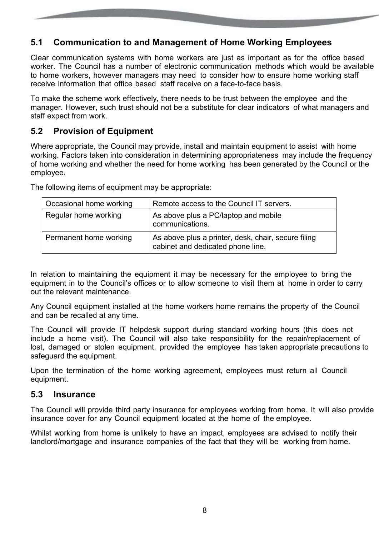### **5.1 Communication to and Management of Home Working Employees**

Clear communication systems with home workers are just as important as for the office based worker. The Council has a number of electronic communication methods which would be available to home workers, however managers may need to consider how to ensure home working staff receive information that office based staff receive on a face-to-face basis.

To make the scheme work effectively, there needs to be trust between the employee and the manager. However, such trust should not be a substitute for clear indicators of what managers and staff expect from work.

#### **5.2 Provision of Equipment**

Where appropriate, the Council may provide, install and maintain equipment to assist with home working. Factors taken into consideration in determining appropriateness may include the frequency of home working and whether the need for home working has been generated by the Council or the employee.

The following items of equipment may be appropriate:

| Occasional home working | Remote access to the Council IT servers.                                                 |
|-------------------------|------------------------------------------------------------------------------------------|
| Regular home working    | As above plus a PC/laptop and mobile<br>communications.                                  |
| Permanent home working  | As above plus a printer, desk, chair, secure filing<br>cabinet and dedicated phone line. |

In relation to maintaining the equipment it may be necessary for the employee to bring the equipment in to the Council's offices or to allow someone to visit them at home in order to carry out the relevant maintenance.

Any Council equipment installed at the home workers home remains the property of the Council and can be recalled at any time.

The Council will provide IT helpdesk support during standard working hours (this does not include a home visit). The Council will also take responsibility for the repair/replacement of lost, damaged or stolen equipment, provided the employee has taken appropriate precautions to safeguard the equipment.

Upon the termination of the home working agreement, employees must return all Council equipment.

#### **5.3 Insurance**

The Council will provide third party insurance for employees working from home. It will also provide insurance cover for any Council equipment located at the home of the employee.

Whilst working from home is unlikely to have an impact, employees are advised to notify their landlord/mortgage and insurance companies of the fact that they will be working from home.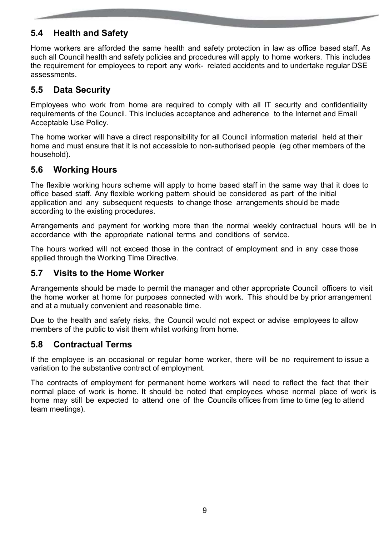### **5.4 Health and Safety**

Home workers are afforded the same health and safety protection in law as office based staff. As such all Council health and safety policies and procedures will apply to home workers. This includes the requirement for employees to report any work- related accidents and to undertake regular DSE assessments.

### **5.5 Data Security**

Employees who work from home are required to comply with all IT security and confidentiality requirements of the Council. This includes acceptance and adherence to the Internet and Email Acceptable Use Policy.

The home worker will have a direct responsibility for all Council information material held at their home and must ensure that it is not accessible to non-authorised people (eg other members of the household).

### **5.6 Working Hours**

The flexible working hours scheme will apply to home based staff in the same way that it does to office based staff. Any flexible working pattern should be considered as part of the initial application and any subsequent requests to change those arrangements should be made according to the existing procedures.

Arrangements and payment for working more than the normal weekly contractual hours will be in accordance with the appropriate national terms and conditions of service.

The hours worked will not exceed those in the contract of employment and in any case those applied through the Working Time Directive.

#### **5.7 Visits to the Home Worker**

Arrangements should be made to permit the manager and other appropriate Council officers to visit the home worker at home for purposes connected with work. This should be by prior arrangement and at a mutually convenient and reasonable time.

Due to the health and safety risks, the Council would not expect or advise employees to allow members of the public to visit them whilst working from home.

#### **5.8 Contractual Terms**

If the employee is an occasional or regular home worker, there will be no requirement to issue a variation to the substantive contract of employment.

The contracts of employment for permanent home workers will need to reflect the fact that their normal place of work is home. It should be noted that employees whose normal place of work is home may still be expected to attend one of the Councils offices from time to time (eg to attend team meetings).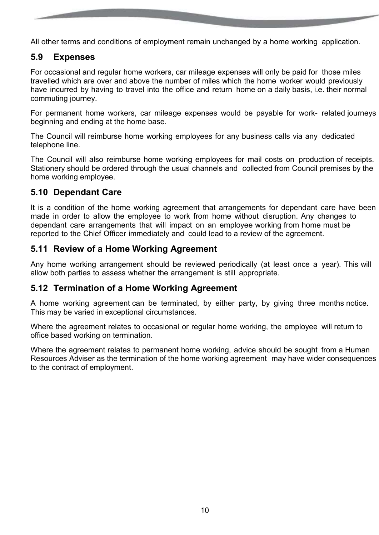All other terms and conditions of employment remain unchanged by a home working application.

#### **5.9 Expenses**

For occasional and regular home workers, car mileage expenses will only be paid for those miles travelled which are over and above the number of miles which the home worker would previously have incurred by having to travel into the office and return home on a daily basis, i.e. their normal commuting journey.

For permanent home workers, car mileage expenses would be payable for work- related journeys beginning and ending at the home base.

The Council will reimburse home working employees for any business calls via any dedicated telephone line.

The Council will also reimburse home working employees for mail costs on production of receipts. Stationery should be ordered through the usual channels and collected from Council premises by the home working employee.

#### **5.10 Dependant Care**

It is a condition of the home working agreement that arrangements for dependant care have been made in order to allow the employee to work from home without disruption. Any changes to dependant care arrangements that will impact on an employee working from home must be reported to the Chief Officer immediately and could lead to a review of the agreement.

#### **5.11 Review of a Home Working Agreement**

Any home working arrangement should be reviewed periodically (at least once a year). This will allow both parties to assess whether the arrangement is still appropriate.

#### **5.12 Termination of a Home Working Agreement**

A home working agreement can be terminated, by either party, by giving three months notice. This may be varied in exceptional circumstances.

Where the agreement relates to occasional or regular home working, the employee will return to office based working on termination.

Where the agreement relates to permanent home working, advice should be sought from a Human Resources Adviser as the termination of the home working agreement may have wider consequences to the contract of employment.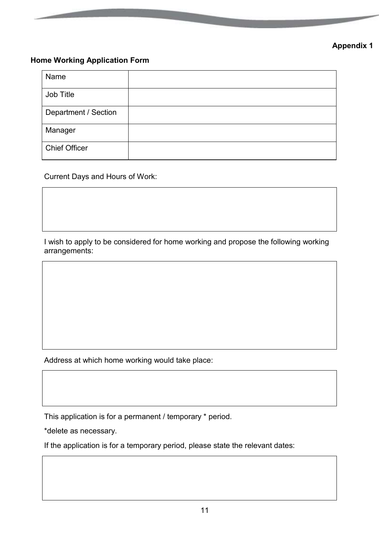### **Appendix 1**

#### **Home Working Application Form**

| Name                 |  |
|----------------------|--|
| Job Title            |  |
| Department / Section |  |
| Manager              |  |
| <b>Chief Officer</b> |  |

Current Days and Hours of Work:

I wish to apply to be considered for home working and propose the following working arrangements:

Address at which home working would take place:

This application is for a permanent / temporary \* period.

\*delete as necessary.

If the application is for a temporary period, please state the relevant dates: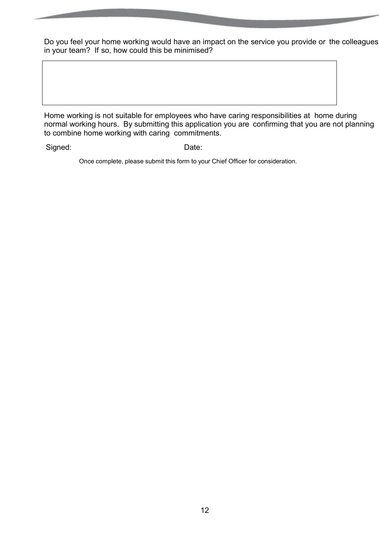Do you feel your home working would have an impact on the service you provide or the colleagues in your team? If so, how could this be minimised?

Home working is not suitable for employees who have caring responsibilities at home during normal working hours. By submitting this application you are confirming that you are not planning to combine home working with caring commitments.

Signed: Date:

Once complete, please submit this form to your Chief Officer for consideration.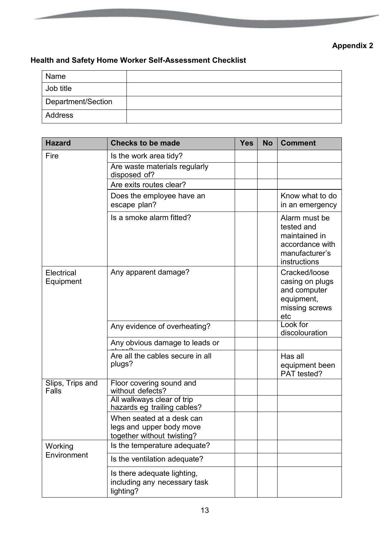## **Appendix 2**

### **Health and Safety Home Worker Self-Assessment Checklist**

| Name               |  |
|--------------------|--|
| Job title          |  |
| Department/Section |  |
| Address            |  |

| <b>Hazard</b>             | <b>Checks to be made</b>                                                            |  | <b>No</b> | <b>Comment</b>                                                                                    |
|---------------------------|-------------------------------------------------------------------------------------|--|-----------|---------------------------------------------------------------------------------------------------|
| Fire                      | Is the work area tidy?                                                              |  |           |                                                                                                   |
|                           | Are waste materials regularly<br>disposed of?                                       |  |           |                                                                                                   |
|                           | Are exits routes clear?                                                             |  |           |                                                                                                   |
|                           | Does the employee have an<br>escape plan?                                           |  |           | Know what to do<br>in an emergency                                                                |
|                           | Is a smoke alarm fitted?                                                            |  |           | Alarm must be<br>tested and<br>maintained in<br>accordance with<br>manufacturer's<br>instructions |
| Electrical<br>Equipment   | Any apparent damage?                                                                |  |           | Cracked/loose<br>casing on plugs<br>and computer<br>equipment,<br>missing screws<br>etc           |
|                           | Any evidence of overheating?                                                        |  |           | Look for<br>discolouration                                                                        |
|                           | Any obvious damage to leads or                                                      |  |           |                                                                                                   |
|                           | Are all the cables secure in all<br>plugs?                                          |  |           | Has all<br>equipment been<br>PAT tested?                                                          |
| Slips, Trips and<br>Falls | Floor covering sound and<br>without defects?                                        |  |           |                                                                                                   |
|                           | All walkways clear of trip<br>hazards eg trailing cables?                           |  |           |                                                                                                   |
|                           | When seated at a desk can<br>legs and upper body move<br>together without twisting? |  |           |                                                                                                   |
| Working                   | Is the temperature adequate?                                                        |  |           |                                                                                                   |
| Environment               | Is the ventilation adequate?                                                        |  |           |                                                                                                   |
|                           | Is there adequate lighting,<br>including any necessary task<br>lighting?            |  |           |                                                                                                   |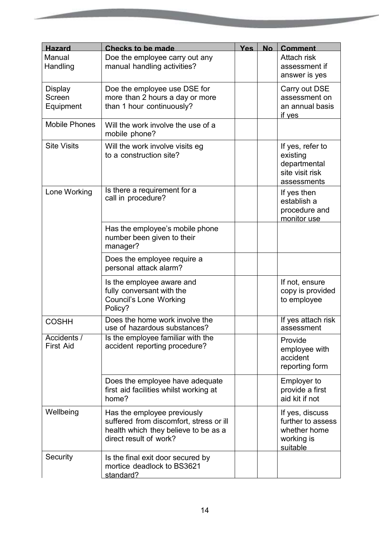| <b>Hazard</b>                         | <b>Checks to be made</b>                                                                                                                 | <b>Yes</b> | <b>No</b> | <b>Comment</b>                                                                 |
|---------------------------------------|------------------------------------------------------------------------------------------------------------------------------------------|------------|-----------|--------------------------------------------------------------------------------|
| Manual<br>Handling                    | Doe the employee carry out any<br>manual handling activities?                                                                            |            |           | Attach risk<br>assessment if<br>answer is yes                                  |
| <b>Display</b><br>Screen<br>Equipment | Doe the employee use DSE for<br>more than 2 hours a day or more<br>than 1 hour continuously?                                             |            |           | Carry out DSE<br>assessment on<br>an annual basis<br>if yes                    |
| <b>Mobile Phones</b>                  | Will the work involve the use of a<br>mobile phone?                                                                                      |            |           |                                                                                |
| <b>Site Visits</b>                    | Will the work involve visits eg<br>to a construction site?                                                                               |            |           | If yes, refer to<br>existing<br>departmental<br>site visit risk<br>assessments |
| Lone Working                          | Is there a requirement for a<br>call in procedure?                                                                                       |            |           | If yes then<br>establish a<br>procedure and<br>monitor use                     |
|                                       | Has the employee's mobile phone<br>number been given to their<br>manager?                                                                |            |           |                                                                                |
|                                       | Does the employee require a<br>personal attack alarm?                                                                                    |            |           |                                                                                |
|                                       | Is the employee aware and<br>fully conversant with the<br><b>Council's Lone Working</b><br>Policy?                                       |            |           | If not, ensure<br>copy is provided<br>to employee                              |
| <b>COSHH</b>                          | Does the home work involve the<br>use of hazardous substances?                                                                           |            |           | If yes attach risk<br>assessment                                               |
| Accidents /<br><b>First Aid</b>       | Is the employee familiar with the<br>accident reporting procedure?                                                                       |            |           | Provide<br>employee with<br>accident<br>reporting form                         |
|                                       | Does the employee have adequate<br>first aid facilities whilst working at<br>home?                                                       |            |           | <b>Employer to</b><br>provide a first<br>aid kit if not                        |
| Wellbeing                             | Has the employee previously<br>suffered from discomfort, stress or ill<br>health which they believe to be as a<br>direct result of work? |            |           | If yes, discuss<br>further to assess<br>whether home<br>working is<br>suitable |
| Security                              | Is the final exit door secured by<br>mortice deadlock to BS3621<br>standard?                                                             |            |           |                                                                                |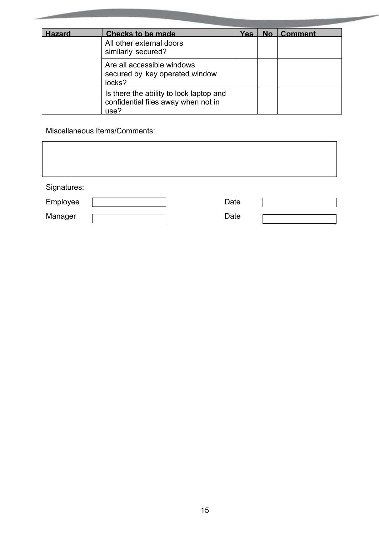| <b>Hazard</b> | <b>Checks to be made</b>                                                               | <b>Yes</b> | <b>No</b> | <b>Comment</b> |
|---------------|----------------------------------------------------------------------------------------|------------|-----------|----------------|
|               | All other external doors<br>similarly secured?                                         |            |           |                |
|               | Are all accessible windows<br>secured by key operated window<br>locks?                 |            |           |                |
|               | Is there the ability to lock laptop and<br>confidential files away when not in<br>use? |            |           |                |

**Contract Contract** 

Miscellaneous Items/Comments:

| Signatures: |  |      |  |
|-------------|--|------|--|
| Employee    |  | Date |  |
| Manager     |  | Date |  |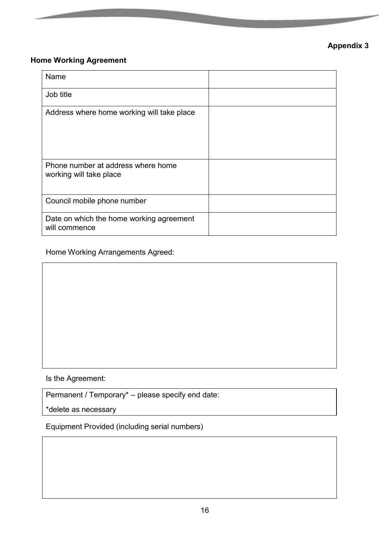### **Home Working Agreement**

| Name                                                          |  |
|---------------------------------------------------------------|--|
| Job title                                                     |  |
| Address where home working will take place                    |  |
| Phone number at address where home<br>working will take place |  |
| Council mobile phone number                                   |  |
| Date on which the home working agreement<br>will commence     |  |

Home Working Arrangements Agreed:

Is the Agreement:

Permanent / Temporary\* – please specify end date:

\*delete as necessary

Equipment Provided (including serial numbers)